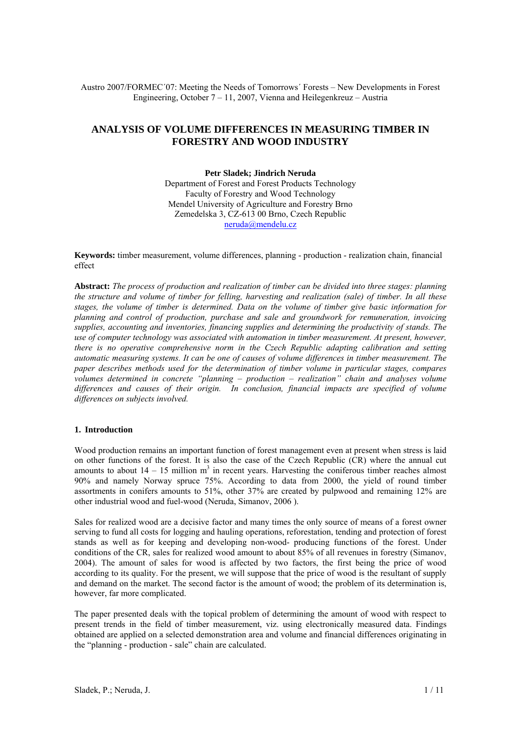Austro 2007/FORMEC´07: Meeting the Needs of Tomorrows´ Forests – New Developments in Forest Engineering, October 7 – 11, 2007, Vienna and Heilegenkreuz – Austria

# **ANALYSIS OF VOLUME DIFFERENCES IN MEASURING TIMBER IN FORESTRY AND WOOD INDUSTRY**

#### **Petr Sladek; Jindrich Neruda**

Department of Forest and Forest Products Technology Faculty of Forestry and Wood Technology Mendel University of Agriculture and Forestry Brno Zemedelska 3, CZ-613 00 Brno, Czech Republic neruda@mendelu.cz

**Keywords:** timber measurement, volume differences, planning - production - realization chain, financial effect

**Abstract:** *The process of production and realization of timber can be divided into three stages: planning the structure and volume of timber for felling, harvesting and realization (sale) of timber. In all these stages, the volume of timber is determined. Data on the volume of timber give basic information for planning and control of production, purchase and sale and groundwork for remuneration, invoicing supplies, accounting and inventories, financing supplies and determining the productivity of stands. The use of computer technology was associated with automation in timber measurement. At present, however, there is no operative comprehensive norm in the Czech Republic adapting calibration and setting automatic measuring systems. It can be one of causes of volume differences in timber measurement. The paper describes methods used for the determination of timber volume in particular stages, compares volumes determined in concrete "planning – production – realization" chain and analyses volume differences and causes of their origin. In conclusion, financial impacts are specified of volume differences on subjects involved.* 

# **1. Introduction**

Wood production remains an important function of forest management even at present when stress is laid on other functions of the forest. It is also the case of the Czech Republic (CR) where the annual cut amounts to about  $14 - 15$  million  $m<sup>3</sup>$  in recent years. Harvesting the coniferous timber reaches almost 90% and namely Norway spruce 75%. According to data from 2000, the yield of round timber assortments in conifers amounts to 51%, other 37% are created by pulpwood and remaining 12% are other industrial wood and fuel-wood (Neruda, Simanov, 2006 ).

Sales for realized wood are a decisive factor and many times the only source of means of a forest owner serving to fund all costs for logging and hauling operations, reforestation, tending and protection of forest stands as well as for keeping and developing non-wood- producing functions of the forest. Under conditions of the CR, sales for realized wood amount to about 85% of all revenues in forestry (Simanov, 2004). The amount of sales for wood is affected by two factors, the first being the price of wood according to its quality. For the present, we will suppose that the price of wood is the resultant of supply and demand on the market. The second factor is the amount of wood; the problem of its determination is, however, far more complicated.

The paper presented deals with the topical problem of determining the amount of wood with respect to present trends in the field of timber measurement, viz. using electronically measured data. Findings obtained are applied on a selected demonstration area and volume and financial differences originating in the "planning - production - sale" chain are calculated.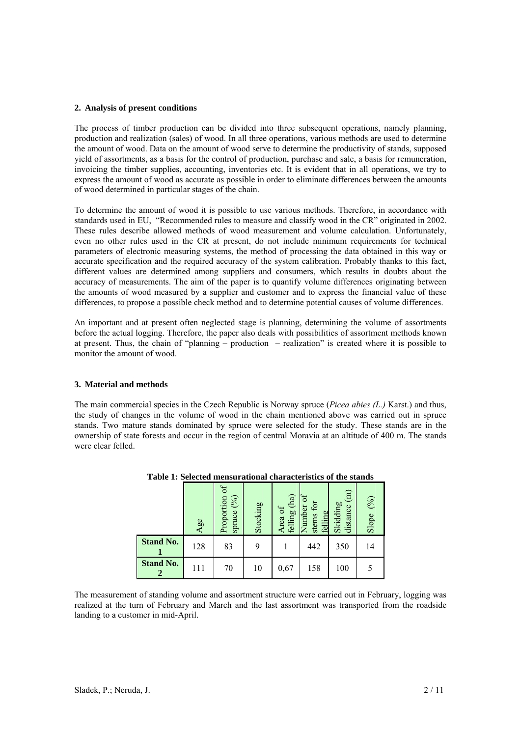# **2. Analysis of present conditions**

The process of timber production can be divided into three subsequent operations, namely planning, production and realization (sales) of wood. In all three operations, various methods are used to determine the amount of wood. Data on the amount of wood serve to determine the productivity of stands, supposed yield of assortments, as a basis for the control of production, purchase and sale, a basis for remuneration, invoicing the timber supplies, accounting, inventories etc. It is evident that in all operations, we try to express the amount of wood as accurate as possible in order to eliminate differences between the amounts of wood determined in particular stages of the chain.

To determine the amount of wood it is possible to use various methods. Therefore, in accordance with standards used in EU, "Recommended rules to measure and classify wood in the CR" originated in 2002. These rules describe allowed methods of wood measurement and volume calculation. Unfortunately, even no other rules used in the CR at present, do not include minimum requirements for technical parameters of electronic measuring systems, the method of processing the data obtained in this way or accurate specification and the required accuracy of the system calibration. Probably thanks to this fact, different values are determined among suppliers and consumers, which results in doubts about the accuracy of measurements. The aim of the paper is to quantify volume differences originating between the amounts of wood measured by a supplier and customer and to express the financial value of these differences, to propose a possible check method and to determine potential causes of volume differences.

An important and at present often neglected stage is planning, determining the volume of assortments before the actual logging. Therefore, the paper also deals with possibilities of assortment methods known at present. Thus, the chain of "planning – production – realization" is created where it is possible to monitor the amount of wood.

# **3. Material and methods**

The main commercial species in the Czech Republic is Norway spruce (*Picea abies (L.)* Karst.) and thus, the study of changes in the volume of wood in the chain mentioned above was carried out in spruce stands. Two mature stands dominated by spruce were selected for the study. These stands are in the ownership of state forests and occur in the region of central Moravia at an altitude of 400 m. The stands were clear felled.

|                  | Age | Proportion of<br>(%)<br>spruce | Stocking | (ha)<br>Area of<br>felling | ъ<br>stems for<br>Number<br>felling | $\binom{m}{n}$<br>Skidding<br>distance | (96)<br>Slope |
|------------------|-----|--------------------------------|----------|----------------------------|-------------------------------------|----------------------------------------|---------------|
| <b>Stand No.</b> | 128 | 83                             | 9        |                            | 442                                 | 350                                    | 14            |
| <b>Stand No.</b> | 111 | 70                             | 10       | 0,67                       | 158                                 | 100                                    | 5             |

**Table 1: Selected mensurational characteristics of the stands** 

The measurement of standing volume and assortment structure were carried out in February, logging was realized at the turn of February and March and the last assortment was transported from the roadside landing to a customer in mid-April.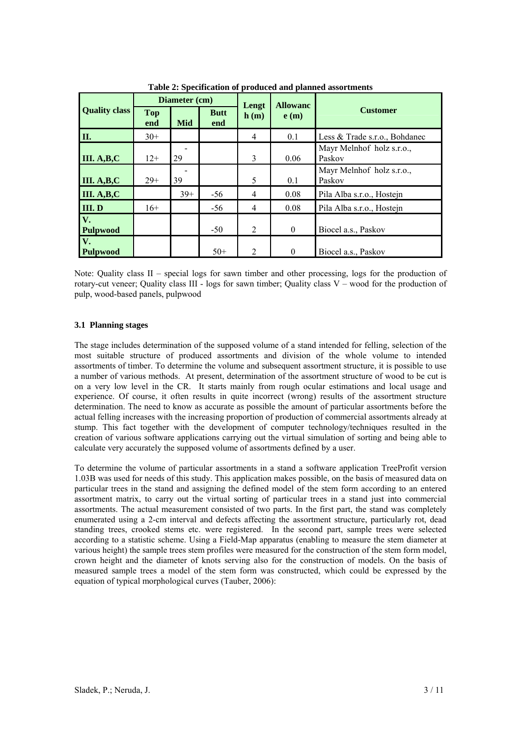|                       | Diameter (cm)     |            |                    | Lengt          | <b>Allowanc</b> |                                     |  |
|-----------------------|-------------------|------------|--------------------|----------------|-----------------|-------------------------------------|--|
| <b>Quality class</b>  | <b>Top</b><br>end | <b>Mid</b> | <b>Butt</b><br>end | h(m)           | e(m)            | <b>Customer</b>                     |  |
| II.                   | $30+$             |            |                    | $\overline{4}$ | 0.1             | Less & Trade s.r.o., Bohdanec       |  |
| III. A,B,C            | $12+$             | 29         |                    | 3              | 0.06            | Mayr Melnhof holz s.r.o.,<br>Paskov |  |
| III. A,B,C            | $29+$             | 39         |                    | 5              | 0.1             | Mayr Melnhof holz s.r.o.,<br>Paskov |  |
| III. A,B,C            |                   | $39+$      | $-56$              | 4              | 0.08            | Pila Alba s.r.o., Hostejn           |  |
| III.D                 | $16+$             |            | $-56$              | $\overline{4}$ | 0.08            | Pila Alba s.r.o., Hostejn           |  |
| V.<br><b>Pulpwood</b> |                   |            | $-50$              | 2              | $\mathbf{0}$    | Biocel a.s., Paskov                 |  |
| V.<br><b>Pulpwood</b> |                   |            | $50+$              | 2              | $\theta$        | Biocel a.s., Paskov                 |  |

**Table 2: Specification of produced and planned assortments** 

Note: Quality class II – special logs for sawn timber and other processing, logs for the production of rotary-cut veneer; Quality class III - logs for sawn timber; Quality class V – wood for the production of pulp, wood-based panels, pulpwood

# **3.1 Planning stages**

The stage includes determination of the supposed volume of a stand intended for felling, selection of the most suitable structure of produced assortments and division of the whole volume to intended assortments of timber. To determine the volume and subsequent assortment structure, it is possible to use a number of various methods. At present, determination of the assortment structure of wood to be cut is on a very low level in the CR. It starts mainly from rough ocular estimations and local usage and experience. Of course, it often results in quite incorrect (wrong) results of the assortment structure determination. The need to know as accurate as possible the amount of particular assortments before the actual felling increases with the increasing proportion of production of commercial assortments already at stump. This fact together with the development of computer technology/techniques resulted in the creation of various software applications carrying out the virtual simulation of sorting and being able to calculate very accurately the supposed volume of assortments defined by a user.

To determine the volume of particular assortments in a stand a software application TreeProfit version 1.03B was used for needs of this study. This application makes possible, on the basis of measured data on particular trees in the stand and assigning the defined model of the stem form according to an entered assortment matrix, to carry out the virtual sorting of particular trees in a stand just into commercial assortments. The actual measurement consisted of two parts. In the first part, the stand was completely enumerated using a 2-cm interval and defects affecting the assortment structure, particularly rot, dead standing trees, crooked stems etc. were registered. In the second part, sample trees were selected according to a statistic scheme. Using a Field-Map apparatus (enabling to measure the stem diameter at various height) the sample trees stem profiles were measured for the construction of the stem form model, crown height and the diameter of knots serving also for the construction of models. On the basis of measured sample trees a model of the stem form was constructed, which could be expressed by the equation of typical morphological curves (Tauber, 2006):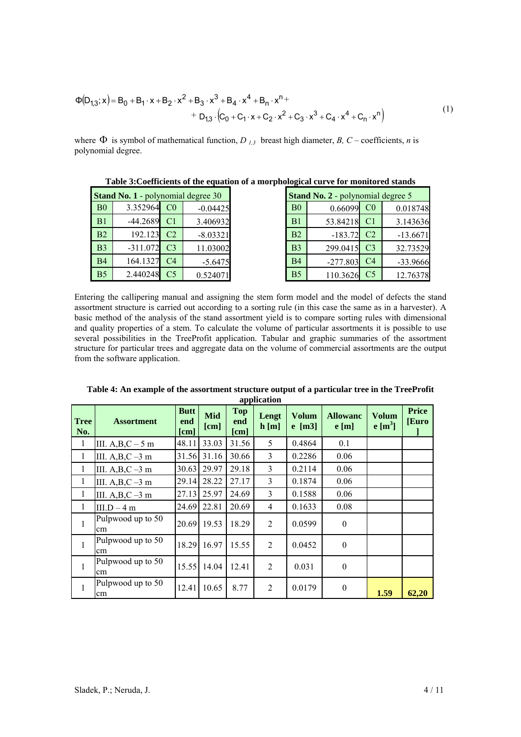$$
\Phi(D_{1,3}; x) = B_0 + B_1 \cdot x + B_2 \cdot x^2 + B_3 \cdot x^3 + B_4 \cdot x^4 + B_n \cdot x^{n+}
$$
  
+ 
$$
D_{1,3} \cdot (C_0 + C_1 \cdot x + C_2 \cdot x^2 + C_3 \cdot x^3 + C_4 \cdot x^4 + C_n \cdot x^n)
$$
 (1)

where  $\Phi$  is symbol of mathematical function, *D<sub>1,3</sub>* breast high diameter, *B*, *C* – coefficients, *n* is polynomial degree.

|                                           | Table of Coefficients of the equation of a morphological curve for momentum stands |                 |            |                                   |                |             |                |            |  |
|-------------------------------------------|------------------------------------------------------------------------------------|-----------------|------------|-----------------------------------|----------------|-------------|----------------|------------|--|
| <b>Stand No. 1 - polynomial degree 30</b> |                                                                                    |                 |            | Stand No. 2 - polynomial degree 5 |                |             |                |            |  |
| B <sub>0</sub>                            | 3.352964                                                                           | CO <sub>2</sub> | $-0.04425$ |                                   | B <sub>0</sub> | 0.66099     | C <sub>0</sub> | 0.018748   |  |
| B1                                        | $-44.2689$                                                                         | C <sub>1</sub>  | 3.406932   |                                   | B <sub>1</sub> | 53.84218    | C <sub>1</sub> | 3.143636   |  |
| B2                                        | 192.123                                                                            | C <sub>2</sub>  | $-8.03321$ |                                   | B2             | $-183.72$   | C <sub>2</sub> | $-13.6671$ |  |
| B <sub>3</sub>                            | $-311.072$                                                                         | C <sub>3</sub>  | 11.03002   |                                   | B <sub>3</sub> | 299.0415    | C <sub>3</sub> | 32.73529   |  |
| <b>B4</b>                                 | 164.1327                                                                           | C4              | $-5.6475$  |                                   | <b>B4</b>      | $-277.803$  | C <sub>4</sub> | -33.9666   |  |
| B <sub>5</sub>                            | 2.440248                                                                           | C <sub>5</sub>  | 0.524071   |                                   | B <sub>5</sub> | 110.3626 C5 |                | 12.76378   |  |

**Table 3:Coefficients of the equation of a morphological curve for monitored stands** 

Entering the callipering manual and assigning the stem form model and the model of defects the stand assortment structure is carried out according to a sorting rule (in this case the same as in a harvester). A basic method of the analysis of the stand assortment yield is to compare sorting rules with dimensional and quality properties of a stem. To calculate the volume of particular assortments it is possible to use several possibilities in the TreeProfit application. Tabular and graphic summaries of the assortment structure for particular trees and aggregate data on the volume of commercial assortments are the output from the software application.

|                    | uppneuenn               |                            |                    |                                           |                |                          |                         |                              |                       |
|--------------------|-------------------------|----------------------------|--------------------|-------------------------------------------|----------------|--------------------------|-------------------------|------------------------------|-----------------------|
| <b>Tree</b><br>No. | <b>Assortment</b>       | <b>Butt</b><br>end<br>[cm] | <b>Mid</b><br>[cm] | <b>Top</b><br>end<br>$\lceil$ cm $\rceil$ | Lengt<br>h[m]  | <b>Volum</b><br>$e$ [m3] | <b>Allowanc</b><br>e[m] | Volum<br>e [m <sup>3</sup> ] | <b>Price</b><br>[Euro |
| $\mathbf{1}$       | III. $A,B,C-5$ m        | 48.11                      | 33.03              | 31.56                                     | 5              | 0.4864                   | 0.1                     |                              |                       |
| $\mathbf{1}$       | III. $A,B,C-3$ m        | 31.56                      | 31.16              | 30.66                                     | 3              | 0.2286                   | 0.06                    |                              |                       |
| $\mathbf{1}$       | III. $A,B,C-3$ m        | 30.63                      | 29.97              | 29.18                                     | 3              | 0.2114                   | 0.06                    |                              |                       |
| $\mathbf{1}$       | III. $A,B,C-3$ m        | 29.14                      | 28.22              | 27.17                                     | 3              | 0.1874                   | 0.06                    |                              |                       |
| $\mathbf{1}$       | III. $A,B,C-3$ m        | 27.13                      | 25.97              | 24.69                                     | 3              | 0.1588                   | 0.06                    |                              |                       |
| $\mathbf{1}$       | $III.D-4 m$             | 24.69                      | 22.81              | 20.69                                     | $\overline{4}$ | 0.1633                   | 0.08                    |                              |                       |
| 1                  | Pulpwood up to 50<br>cm | 20.69                      | 19.53              | 18.29                                     | 2              | 0.0599                   | $\boldsymbol{0}$        |                              |                       |
| 1                  | Pulpwood up to 50<br>cm | 18.29                      | 16.97              | 15.55                                     | 2              | 0.0452                   | $\boldsymbol{0}$        |                              |                       |
| $\mathbf{1}$       | Pulpwood up to 50<br>cm | 15.55                      | 14.04              | 12.41                                     | 2              | 0.031                    | $\boldsymbol{0}$        |                              |                       |
| 1                  | Pulpwood up to 50<br>cm | 12.41                      | 10.65              | 8.77                                      | $\overline{2}$ | 0.0179                   | $\boldsymbol{0}$        | 1.59                         | 62,20                 |

**Table 4: An example of the assortment structure output of a particular tree in the TreeProfit application**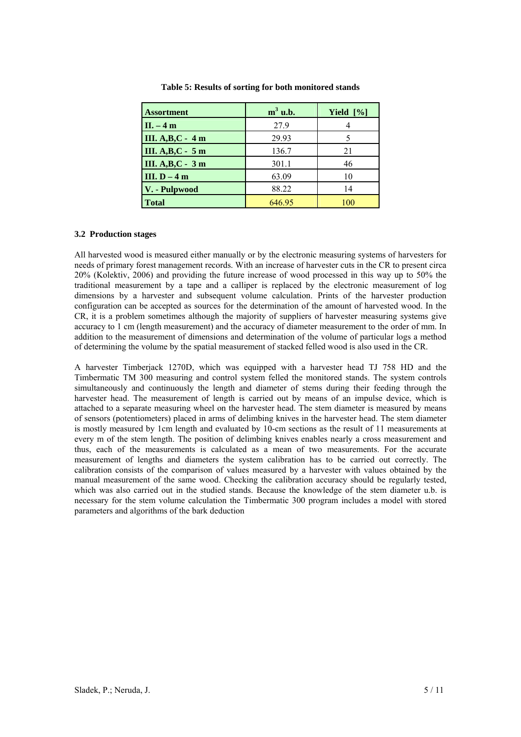| <b>Assortment</b>  | $m3$ u.b. | Yield $[\%]$ |
|--------------------|-----------|--------------|
| $II. - 4m$         | 27.9      |              |
| III. A, B, C - 4 m | 29.93     |              |
| III. A, B, C - 5 m | 136.7     | 21           |
| III. A, B, C - 3 m | 301.1     | 46           |
| III. $D - 4m$      | 63.09     | 10           |
| V. - Pulpwood      | 88.22     | 14           |
| <b>Total</b>       | 646.95    | 100          |

**Table 5: Results of sorting for both monitored stands** 

## **3.2 Production stages**

All harvested wood is measured either manually or by the electronic measuring systems of harvesters for needs of primary forest management records. With an increase of harvester cuts in the CR to present circa 20% (Kolektiv, 2006) and providing the future increase of wood processed in this way up to 50% the traditional measurement by a tape and a calliper is replaced by the electronic measurement of log dimensions by a harvester and subsequent volume calculation. Prints of the harvester production configuration can be accepted as sources for the determination of the amount of harvested wood. In the CR, it is a problem sometimes although the majority of suppliers of harvester measuring systems give accuracy to 1 cm (length measurement) and the accuracy of diameter measurement to the order of mm. In addition to the measurement of dimensions and determination of the volume of particular logs a method of determining the volume by the spatial measurement of stacked felled wood is also used in the CR.

A harvester Timberjack 1270D, which was equipped with a harvester head TJ 758 HD and the Timbermatic TM 300 measuring and control system felled the monitored stands. The system controls simultaneously and continuously the length and diameter of stems during their feeding through the harvester head. The measurement of length is carried out by means of an impulse device, which is attached to a separate measuring wheel on the harvester head. The stem diameter is measured by means of sensors (potentiometers) placed in arms of delimbing knives in the harvester head. The stem diameter is mostly measured by 1cm length and evaluated by 10-cm sections as the result of 11 measurements at every m of the stem length. The position of delimbing knives enables nearly a cross measurement and thus, each of the measurements is calculated as a mean of two measurements. For the accurate measurement of lengths and diameters the system calibration has to be carried out correctly. The calibration consists of the comparison of values measured by a harvester with values obtained by the manual measurement of the same wood. Checking the calibration accuracy should be regularly tested, which was also carried out in the studied stands. Because the knowledge of the stem diameter u.b. is necessary for the stem volume calculation the Timbermatic 300 program includes a model with stored parameters and algorithms of the bark deduction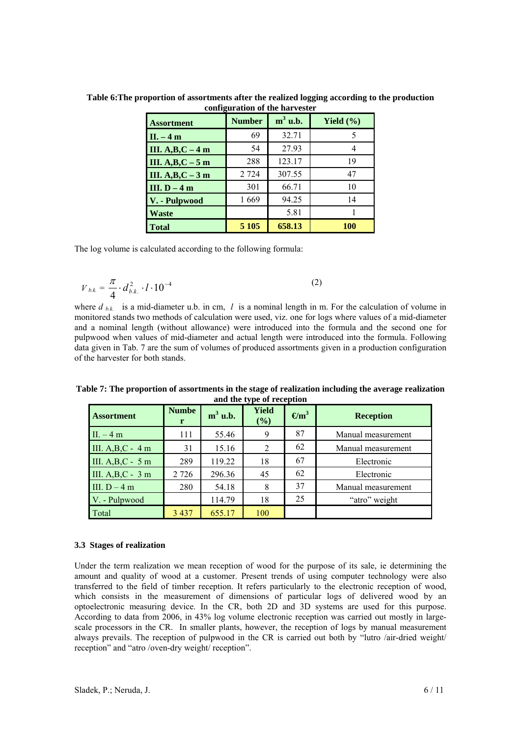| <b>Assortment</b> | <b>Number</b> | $m3$ u.b. | Yield $(\% )$ |
|-------------------|---------------|-----------|---------------|
| $II. -4m$         | 69            | 32.71     | 5             |
| III. $A,B,C-4$ m  | 54            | 27.93     |               |
| III. $A,B,C-5$ m  | 288           | 123.17    | 19            |
| III. $A,B,C-3$ m  | 2 7 2 4       | 307.55    | 47            |
| III. $D-4m$       | 301           | 66.71     | 10            |
| V. - Pulpwood     | 1669          | 94.25     | 14            |
| Waste             |               | 5.81      |               |
| <b>Total</b>      | 5 1 0 5       | 658.13    | <b>100</b>    |

**Table 6:The proportion of assortments after the realized logging according to the production configuration of the harvester** 

The log volume is calculated according to the following formula:

$$
V_{|b.k.} = \frac{\pi}{4} \cdot d_{|b.k.}^{2} \cdot l \cdot 10^{-4}
$$

where  $d_{hk}$  is a mid-diameter u.b. in cm, *l* is a nominal length in m. For the calculation of volume in monitored stands two methods of calculation were used, viz. one for logs where values of a mid-diameter and a nominal length (without allowance) were introduced into the formula and the second one for pulpwood when values of mid-diameter and actual length were introduced into the formula. Following data given in Tab. 7 are the sum of volumes of produced assortments given in a production configuration of the harvester for both stands.

(2)

| <b>Assortment</b> | <b>Numbe</b><br>r | $m3$ u.b. | <b>Yield</b><br>$(\%)$ | $\mathbf{m}^3$ | <b>Reception</b>   |
|-------------------|-------------------|-----------|------------------------|----------------|--------------------|
| $II. -4 m$        | 111               | 55.46     | 9                      | 87             | Manual measurement |
| III. $A,B,C-4$ m  | 31                | 15.16     | 2                      | 62             | Manual measurement |
| III. $A,B,C-5$ m  | 289               | 119.22    | 18                     | 67             | Electronic         |
| III. $A,B,C-3$ m  | 2 7 2 6           | 296.36    | 45                     | 62             | Electronic         |
| III. $D-4m$       | 280               | 54.18     | 8                      | 37             | Manual measurement |
| V. - Pulpwood     |                   | 114.79    | 18                     | 25             | "atro" weight      |
| Total             | 3 4 3 7           | 655.17    | 100                    |                |                    |

**Table 7: The proportion of assortments in the stage of realization including the average realization and the type of reception** 

# **3.3 Stages of realization**

Under the term realization we mean reception of wood for the purpose of its sale, ie determining the amount and quality of wood at a customer. Present trends of using computer technology were also transferred to the field of timber reception. It refers particularly to the electronic reception of wood, which consists in the measurement of dimensions of particular logs of delivered wood by an optoelectronic measuring device. In the CR, both 2D and 3D systems are used for this purpose. According to data from 2006, in 43% log volume electronic reception was carried out mostly in largescale processors in the CR. In smaller plants, however, the reception of logs by manual measurement always prevails. The reception of pulpwood in the CR is carried out both by "lutro /air-dried weight/ reception" and "atro /oven-dry weight/ reception".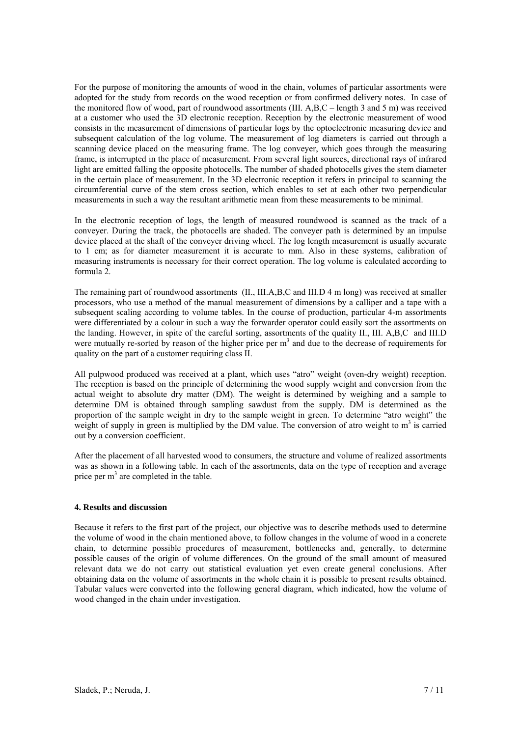For the purpose of monitoring the amounts of wood in the chain, volumes of particular assortments were adopted for the study from records on the wood reception or from confirmed delivery notes. In case of the monitored flow of wood, part of roundwood assortments (III. A,B,C – length 3 and 5 m) was received at a customer who used the 3D electronic reception. Reception by the electronic measurement of wood consists in the measurement of dimensions of particular logs by the optoelectronic measuring device and subsequent calculation of the log volume. The measurement of log diameters is carried out through a scanning device placed on the measuring frame. The log conveyer, which goes through the measuring frame, is interrupted in the place of measurement. From several light sources, directional rays of infrared light are emitted falling the opposite photocells. The number of shaded photocells gives the stem diameter in the certain place of measurement. In the 3D electronic reception it refers in principal to scanning the circumferential curve of the stem cross section, which enables to set at each other two perpendicular measurements in such a way the resultant arithmetic mean from these measurements to be minimal.

In the electronic reception of logs, the length of measured roundwood is scanned as the track of a conveyer. During the track, the photocells are shaded. The conveyer path is determined by an impulse device placed at the shaft of the conveyer driving wheel. The log length measurement is usually accurate to 1 cm; as for diameter measurement it is accurate to mm. Also in these systems, calibration of measuring instruments is necessary for their correct operation. The log volume is calculated according to formula 2.

The remaining part of roundwood assortments (II., III.A,B,C and III.D 4 m long) was received at smaller processors, who use a method of the manual measurement of dimensions by a calliper and a tape with a subsequent scaling according to volume tables. In the course of production, particular 4-m assortments were differentiated by a colour in such a way the forwarder operator could easily sort the assortments on the landing. However, in spite of the careful sorting, assortments of the quality II., III. A,B,C and III.D were mutually re-sorted by reason of the higher price per  $m<sup>3</sup>$  and due to the decrease of requirements for quality on the part of a customer requiring class II.

All pulpwood produced was received at a plant, which uses "atro" weight (oven-dry weight) reception. The reception is based on the principle of determining the wood supply weight and conversion from the actual weight to absolute dry matter (DM). The weight is determined by weighing and a sample to determine DM is obtained through sampling sawdust from the supply. DM is determined as the proportion of the sample weight in dry to the sample weight in green. To determine "atro weight" the weight of supply in green is multiplied by the DM value. The conversion of atro weight to  $m<sup>3</sup>$  is carried out by a conversion coefficient.

After the placement of all harvested wood to consumers, the structure and volume of realized assortments was as shown in a following table. In each of the assortments, data on the type of reception and average price per  $m<sup>3</sup>$  are completed in the table.

# **4. Results and discussion**

Because it refers to the first part of the project, our objective was to describe methods used to determine the volume of wood in the chain mentioned above, to follow changes in the volume of wood in a concrete chain, to determine possible procedures of measurement, bottlenecks and, generally, to determine possible causes of the origin of volume differences. On the ground of the small amount of measured relevant data we do not carry out statistical evaluation yet even create general conclusions. After obtaining data on the volume of assortments in the whole chain it is possible to present results obtained. Tabular values were converted into the following general diagram, which indicated, how the volume of wood changed in the chain under investigation.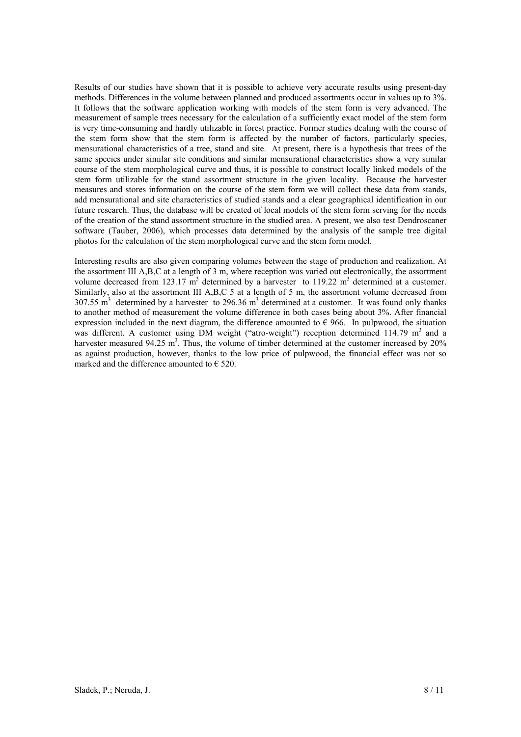Results of our studies have shown that it is possible to achieve very accurate results using present-day methods. Differences in the volume between planned and produced assortments occur in values up to 3%. It follows that the software application working with models of the stem form is very advanced. The measurement of sample trees necessary for the calculation of a sufficiently exact model of the stem form is very time-consuming and hardly utilizable in forest practice. Former studies dealing with the course of the stem form show that the stem form is affected by the number of factors, particularly species, mensurational characteristics of a tree, stand and site. At present, there is a hypothesis that trees of the same species under similar site conditions and similar mensurational characteristics show a very similar course of the stem morphological curve and thus, it is possible to construct locally linked models of the stem form utilizable for the stand assortment structure in the given locality. Because the harvester measures and stores information on the course of the stem form we will collect these data from stands, add mensurational and site characteristics of studied stands and a clear geographical identification in our future research. Thus, the database will be created of local models of the stem form serving for the needs of the creation of the stand assortment structure in the studied area. A present, we also test Dendroscaner software (Tauber, 2006), which processes data determined by the analysis of the sample tree digital photos for the calculation of the stem morphological curve and the stem form model.

Interesting results are also given comparing volumes between the stage of production and realization. At the assortment III A,B,C at a length of 3 m, where reception was varied out electronically, the assortment volume decreased from 123.17  $\text{m}^3$  determined by a harvester to 119.22  $\text{m}^3$  determined at a customer. Similarly, also at the assortment III A,B,C 5 at a length of 5 m, the assortment volume decreased from  $307.55$  m<sup>3</sup> determined by a harvester to 296.36 m<sup>3</sup> determined at a customer. It was found only thanks to another method of measurement the volume difference in both cases being about 3%. After financial expression included in the next diagram, the difference amounted to  $\epsilon$  966. In pulpwood, the situation was different. A customer using DM weight ("atro-weight") reception determined 114.79  $m<sup>3</sup>$  and a harvester measured  $94.25 \text{ m}^3$ . Thus, the volume of timber determined at the customer increased by  $20\%$ as against production, however, thanks to the low price of pulpwood, the financial effect was not so marked and the difference amounted to  $\epsilon$  520.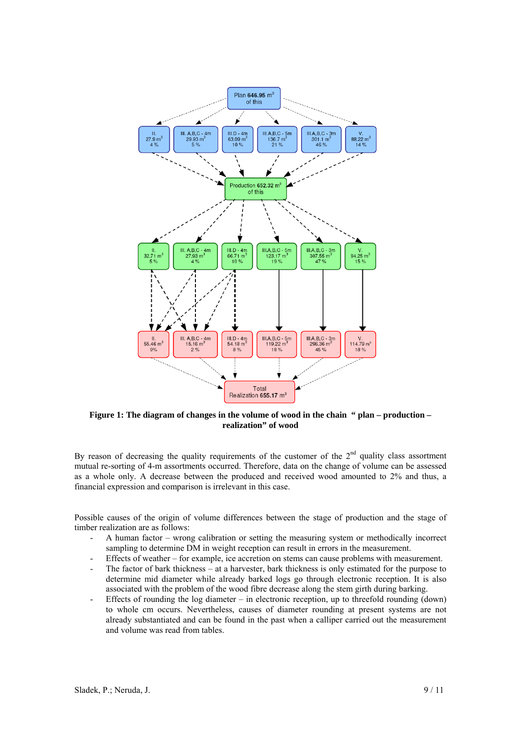

**Figure 1: The diagram of changes in the volume of wood in the chain " plan – production – realization" of wood** 

By reason of decreasing the quality requirements of the customer of the  $2<sup>nd</sup>$  quality class assortment mutual re-sorting of 4-m assortments occurred. Therefore, data on the change of volume can be assessed as a whole only. A decrease between the produced and received wood amounted to 2% and thus, a financial expression and comparison is irrelevant in this case.

Possible causes of the origin of volume differences between the stage of production and the stage of timber realization are as follows:

- A human factor wrong calibration or setting the measuring system or methodically incorrect sampling to determine DM in weight reception can result in errors in the measurement.
- Effects of weather for example, ice accretion on stems can cause problems with measurement.
- The factor of bark thickness at a harvester, bark thickness is only estimated for the purpose to determine mid diameter while already barked logs go through electronic reception. It is also associated with the problem of the wood fibre decrease along the stem girth during barking.
- Effects of rounding the log diameter in electronic reception, up to threefold rounding (down) to whole cm occurs. Nevertheless, causes of diameter rounding at present systems are not already substantiated and can be found in the past when a calliper carried out the measurement and volume was read from tables.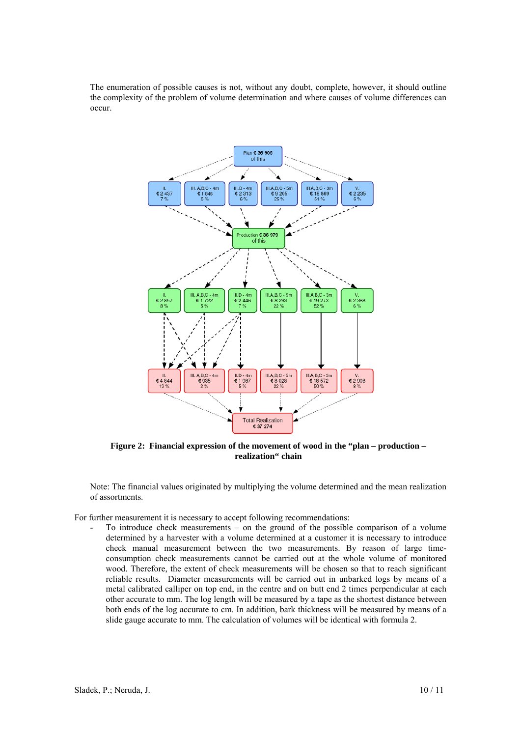The enumeration of possible causes is not, without any doubt, complete, however, it should outline the complexity of the problem of volume determination and where causes of volume differences can occur.



**Figure 2: Financial expression of the movement of wood in the "plan – production – realization" chain** 

Note: The financial values originated by multiplying the volume determined and the mean realization of assortments.

For further measurement it is necessary to accept following recommendations:

- To introduce check measurements – on the ground of the possible comparison of a volume determined by a harvester with a volume determined at a customer it is necessary to introduce check manual measurement between the two measurements. By reason of large timeconsumption check measurements cannot be carried out at the whole volume of monitored wood. Therefore, the extent of check measurements will be chosen so that to reach significant reliable results. Diameter measurements will be carried out in unbarked logs by means of a metal calibrated calliper on top end, in the centre and on butt end 2 times perpendicular at each other accurate to mm. The log length will be measured by a tape as the shortest distance between both ends of the log accurate to cm. In addition, bark thickness will be measured by means of a slide gauge accurate to mm. The calculation of volumes will be identical with formula 2.